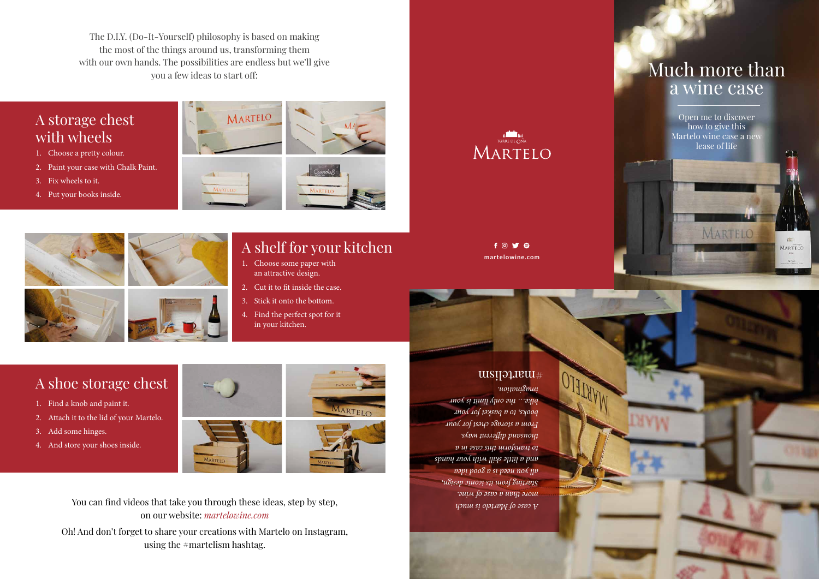# Much more than a wine case

The D.I.Y. (Do-It-Yourself) philosophy is based on making the most of the things around us, transforming them with our own hands. The possibilities are endless but we'll give you a few ideas to start off:

## A storage chest with wheels

# A shoe storage chest

# A shelf for your kitchen

- 1. Choose some paper with an attractive design.
- 2. Cut it to fit inside the case.
- 3. Stick it onto the bottom.
- 4. Find the perfect spot for it in your kitchen.

### $f$   $\odot$   $\blacktriangleright$   $\ominus$ **martelowine.com**

- 1. Find a knob and paint it.
- 2. Attach it to the lid of your Martelo.
- 3. Add some hinges.
- 4. And store your shoes inside.







Oh! And don't forget to share your creations with Martelo on Instagram, using the #martelism hashtag.

MARTELO

- 1. Choose a pretty colour.
- 2. Paint your case with Chalk Paint.
- 3. Fix wheels to it.
- 4. Put your books inside.







Open me to discover how to give this Martelo wine case a new lease of life

MARTELO

MARTELO

*A case of Martelo is much more than a case of wine. Starting from its iconic design, all you need is a good idea and a little skill with your hands to transform this case in a thousand different ways. From a storage chest for your books, to a basket for your bike… the only limit is your imagination.*

### #martelism

OTALIAN